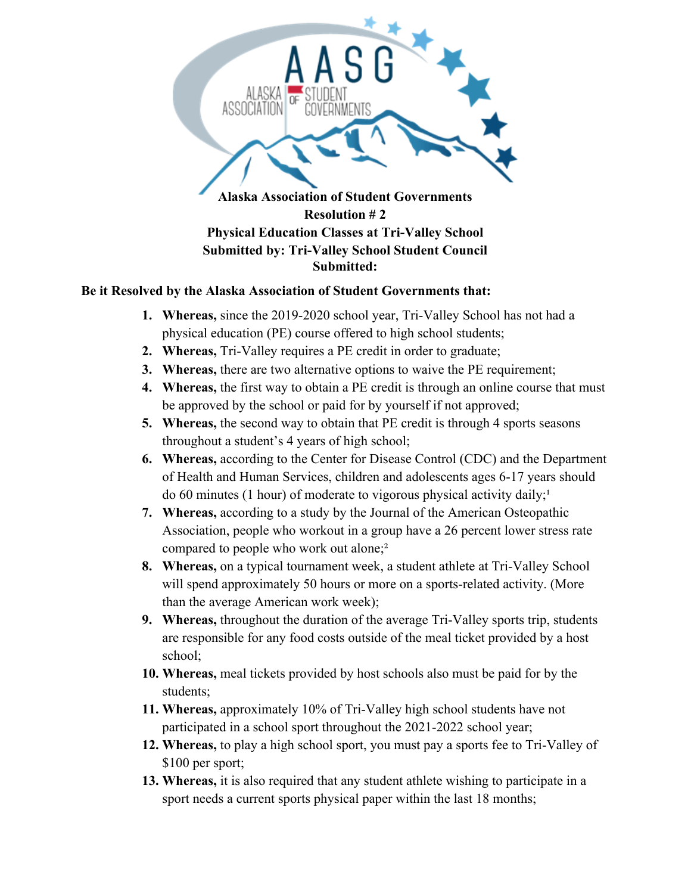

## **Be it Resolved by the Alaska Association of Student Governments that:**

- **1. Whereas,** since the 2019-2020 school year, Tri-Valley School has not had a physical education (PE) course offered to high school students;
- **2. Whereas,** Tri-Valley requires a PE credit in order to graduate;
- **3. Whereas,** there are two alternative options to waive the PE requirement;
- **4. Whereas,** the first way to obtain a PE credit is through an online course that must be approved by the school or paid for by yourself if not approved;
- **5. Whereas,** the second way to obtain that PE credit is through 4 sports seasons throughout a student's 4 years of high school;
- **6. Whereas,** according to the Center for Disease Control (CDC) and the Department of Health and Human Services, children and adolescents ages 6-17 years should do 60 minutes (1 hour) of moderate to vigorous physical activity daily;<sup>1</sup>
- **7. Whereas,** according to a study by the Journal of the American Osteopathic Association, people who workout in a group have a 26 percent lower stress rate compared to people who work out alone;<sup>2</sup>
- **8. Whereas,** on a typical tournament week, a student athlete at Tri-Valley School will spend approximately 50 hours or more on a sports-related activity. (More than the average American work week);
- **9. Whereas,** throughout the duration of the average Tri-Valley sports trip, students are responsible for any food costs outside of the meal ticket provided by a host school;
- **10. Whereas,** meal tickets provided by host schools also must be paid for by the students;
- **11. Whereas,** approximately 10% of Tri-Valley high school students have not participated in a school sport throughout the 2021-2022 school year;
- **12. Whereas,** to play a high school sport, you must pay a sports fee to Tri-Valley of \$100 per sport;
- **13. Whereas,** it is also required that any student athlete wishing to participate in a sport needs a current sports physical paper within the last 18 months;